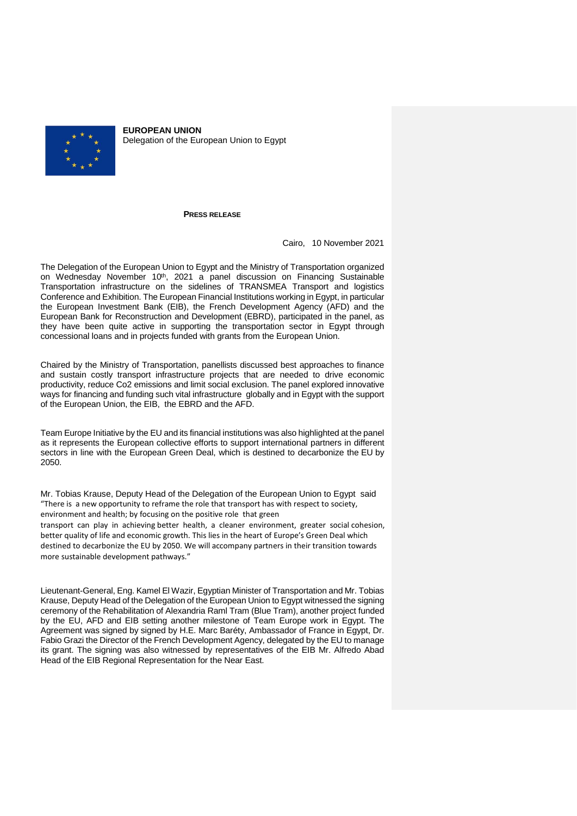

**EUROPEAN UNION** Delegation of the European Union to Egypt

## **PRESS RELEASE**

Cairo, 10 November 2021

The Delegation of the European Union to Egypt and the Ministry of Transportation organized on Wednesday November 10<sup>th</sup>, 2021 a panel discussion on Financing Sustainable Transportation infrastructure on the sidelines of TRANSMEA Transport and logistics Conference and Exhibition. The European Financial Institutions working in Egypt, in particular the European Investment Bank (EIB), the French Development Agency (AFD) and the European Bank for Reconstruction and Development (EBRD), participated in the panel, as they have been quite active in supporting the transportation sector in Egypt through concessional loans and in projects funded with grants from the European Union.

Chaired by the Ministry of Transportation, panellists discussed best approaches to finance and sustain costly transport infrastructure projects that are needed to drive economic productivity, reduce Co2 emissions and limit social exclusion. The panel explored innovative ways for financing and funding such vital infrastructure globally and in Egypt with the support of the European Union, the EIB, the EBRD and the AFD.

Team Europe Initiative by the EU and its financial institutions was also highlighted at the panel as it represents the European collective efforts to support international partners in different sectors in line with the European Green Deal, which is destined to decarbonize the EU by 2050.

Mr. Tobias Krause, Deputy Head of the Delegation of the European Union to Egypt said "There is a new opportunity to reframe the role that transport has with respect to society, environment and health; by focusing on the positive role that green

transport can play in achieving better health, a cleaner environment, greater social cohesion, better quality of life and economic growth. This lies in the heart of Europe's Green Deal which destined to decarbonize the EU by 2050. We will accompany partners in their transition towards more sustainable development pathways."

Lieutenant-General, Eng. Kamel El Wazir, Egyptian Minister of Transportation and Mr. Tobias Krause, Deputy Head of the Delegation of the European Union to Egypt witnessed the signing ceremony of the Rehabilitation of Alexandria Raml Tram (Blue Tram), another project funded by the EU, AFD and EIB setting another milestone of Team Europe work in Egypt. The Agreement was signed by signed by H.E. Marc Baréty, Ambassador of France in Egypt, Dr. Fabio Grazi the Director of the French Development Agency, delegated by the EU to manage its grant. The signing was also witnessed by representatives of the EIB Mr. Alfredo Abad Head of the EIB Regional Representation for the Near East.